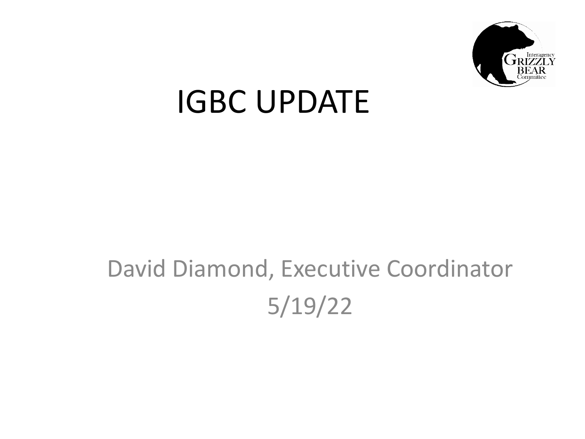

## IGBC UPDATE

### David Diamond, Executive Coordinator 5/19/22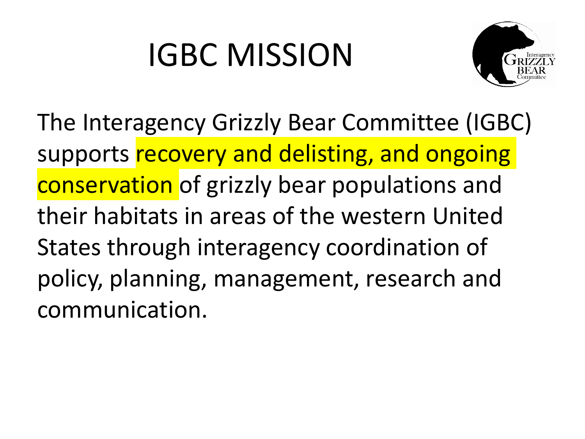## IGBC MISSION



The Interagency Grizzly Bear Committee (IGBC) supports recovery and delisting, and ongoing conservation of grizzly bear populations and their habitats in areas of the western United States through interagency coordination of policy, planning, management, research and communication.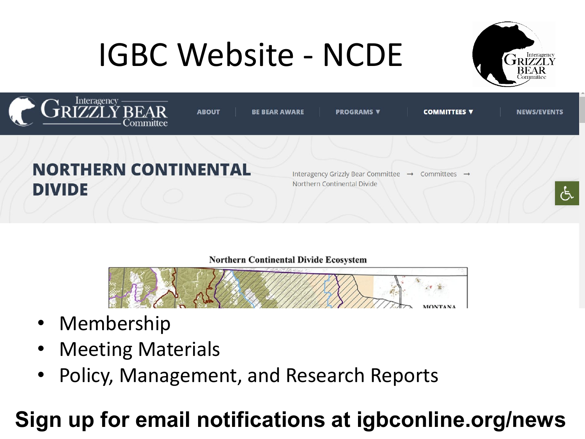## IGBC Website - NCDE





#### **Northern Continental Divide Ecosystem**



- Membership
- Meeting Materials
- Policy, Management, and Research Reports

### **Sign up for email notifications at igbconline.org/news**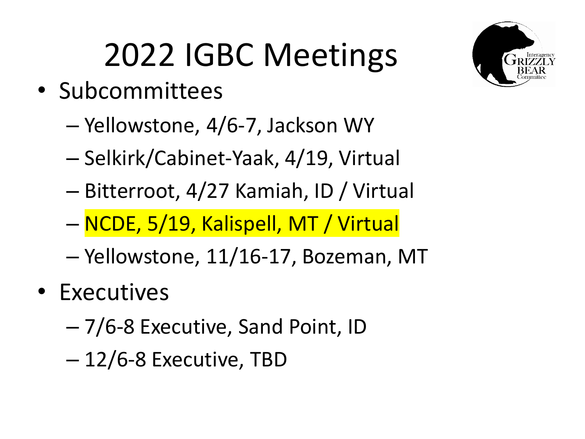## 2022 IGBC Meetings

- Subcommittees
	- Yellowstone, 4/6-7, Jackson WY
	- Selkirk/Cabinet-Yaak, 4/19, Virtual
	- Bitterroot, 4/27 Kamiah, ID / Virtual
	- NCDE, 5/19, Kalispell, MT / Virtual
	- Yellowstone, 11/16-17, Bozeman, MT
- Executives
	- 7/6-8 Executive, Sand Point, ID
	- 12/6-8 Executive, TBD

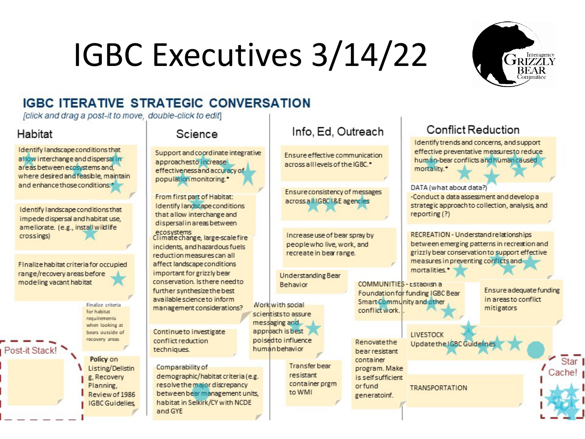# IGBC Executives 3/14/22



#### **IGBC ITERATIVE STRATEGIC CONVERSATION**

felick and drag a post-it to move, double-click to ediff

#### Habitat

Post-it Stack!

Identify landscape conditions that allow interchange and dispersal in areas between ecosystems and. where desired and feasible, maintain and enhance those conditions.<sup>\*</sup>

Identify landscape conditions that impede dispersal and habitat use. ameliorate. (e.g., install wildlife crossings)

Finalize habitat criteria for occupied range/recovery areas before modeling vacant habitat

> Finalize criteria for habitat requirements when looking at bears outside of recovery areas

Policy on Listing/Delistin g, Recovery Planning. Review of 1986 **IGBC** Guidelies

#### Science

Support and coordinate integrative approachesto increase effectivenessand accuracy of population monitoring.\*

From first part of Habitat: Identify landscape conditions that allow interchange and dispersalin areas between

ecosystems<br>Climate change, large-scale fire incidents, and hazardous fuels. reduction measures can all affect landscape conditions important for grizzly bear conservation, Is there need to further synthesize the best available science to inform management considerations?

Continue to investigate conflict reduction techniques.

Comparability of demographic/habitat criteria (e.g. resolve the major discrepancy between bear management units. habitat in Selkirk/CY with NCDE and GYE

#### Info. Ed. Outreach

Ensure effective communication across all levels of the IGBC.<sup>\*</sup>

Ensure consistency of messages across all IGBC I&E agencies

Increase use of bear spray by peoplewho live, work, and recreate in bear range.

Understanding Bear Behavior

Work with social scientists to assure messaging and approach is best poised to influence human behavior

> **Transferbear** resistant container prem to WMI

Renovatethe bear resistant container program, Make is self sufficient orfund generatoinf.

**LIVESTOCK** 

**TRANSPORTATION** 

Update the IGBC Guidelines

conflict work

#### **Conflict Reduction**

Identify trends and concerns, and support effective preventative measuresto reduce human-bear conflicts and human caused mortality.<sup>•</sup> DATA (what about data?) -Conduct a data assessment and develop a strategic approach to collection, analysis, and reporting (?) RECREATION - Understand relationships between emerging patterns in recreation and grizzly bear conservation to support effective measures in preventing conflicts and mortalities.<sup>\*</sup> COMMUNITIES - Establish a Ensure a dequate funding Foundation for funding IGBC Bear in areas to conflict Smart Community and other mitigators

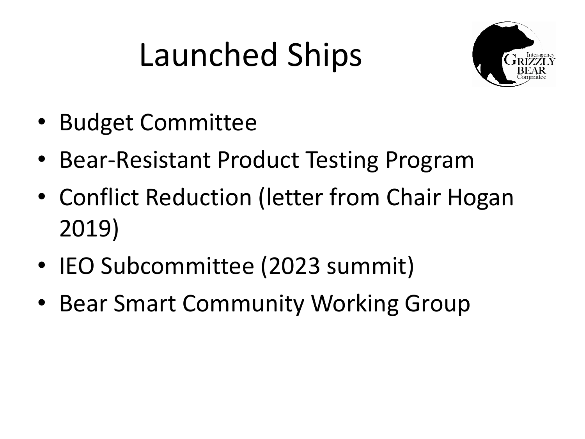## Launched Ships



- Budget Committee
- Bear-Resistant Product Testing Program
- Conflict Reduction (letter from Chair Hogan 2019)
- IEO Subcommittee (2023 summit)
- Bear Smart Community Working Group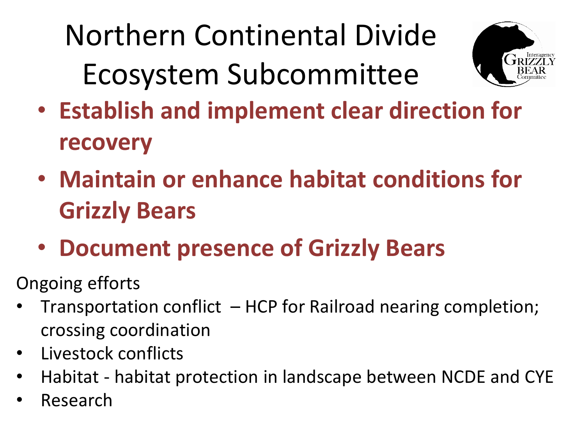Northern Continental Divide Ecosystem Subcommittee



- **Establish and implement clear direction for recovery**
- **Maintain or enhance habitat conditions for Grizzly Bears**
- **Document presence of Grizzly Bears**
- Ongoing efforts
- Transportation conflict HCP for Railroad nearing completion; crossing coordination
- Livestock conflicts
- Habitat habitat protection in landscape between NCDE and CYE
- Research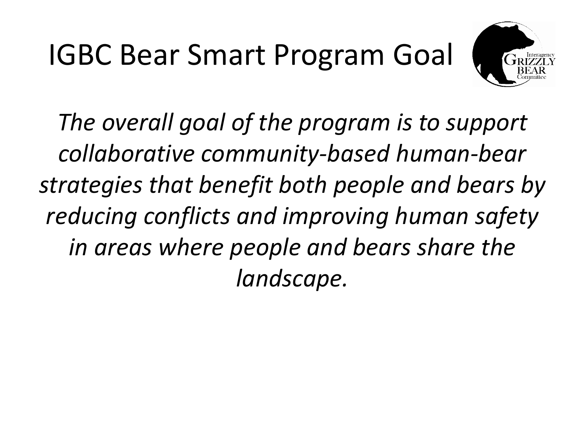## IGBC Bear Smart Program Goal



*The overall goal of the program is to support collaborative community-based human-bear strategies that benefit both people and bears by reducing conflicts and improving human safety in areas where people and bears share the landscape.*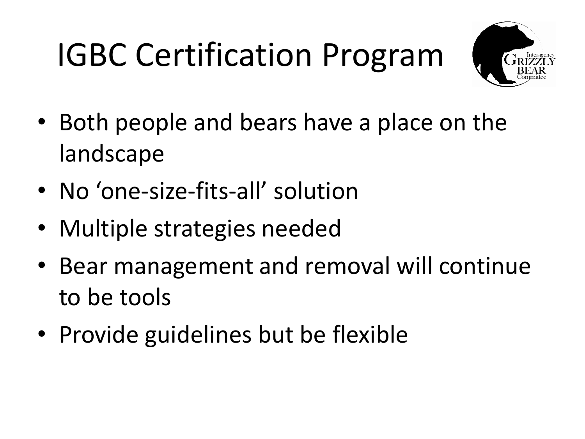## IGBC Certification Program



- Both people and bears have a place on the landscape
- No 'one-size-fits-all' solution
- Multiple strategies needed
- Bear management and removal will continue to be tools
- Provide guidelines but be flexible